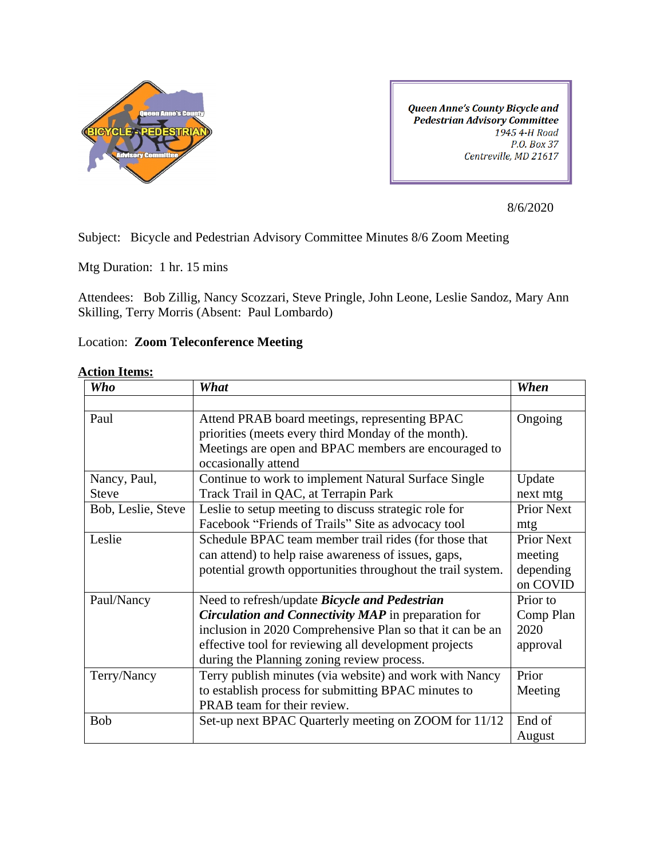

**Queen Anne's County Bicycle and** Pedestrian Advisory Committee 1945 4-H Road P.O. Box 37 Centreville, MD 21617

8/6/2020

Subject: Bicycle and Pedestrian Advisory Committee Minutes 8/6 Zoom Meeting

Mtg Duration: 1 hr. 15 mins

Attendees: Bob Zillig, Nancy Scozzari, Steve Pringle, John Leone, Leslie Sandoz, Mary Ann Skilling, Terry Morris (Absent: Paul Lombardo)

## Location: **Zoom Teleconference Meeting**

## **Action Items:**

| <b>Who</b>         | What                                                        | When              |
|--------------------|-------------------------------------------------------------|-------------------|
|                    |                                                             |                   |
| Paul               | Attend PRAB board meetings, representing BPAC               | Ongoing           |
|                    | priorities (meets every third Monday of the month).         |                   |
|                    | Meetings are open and BPAC members are encouraged to        |                   |
|                    | occasionally attend                                         |                   |
| Nancy, Paul,       | Continue to work to implement Natural Surface Single        | Update            |
| <b>Steve</b>       | Track Trail in QAC, at Terrapin Park                        | next mtg          |
| Bob, Leslie, Steve | Leslie to setup meeting to discuss strategic role for       | <b>Prior Next</b> |
|                    | Facebook "Friends of Trails" Site as advocacy tool          | mtg               |
| Leslie             | Schedule BPAC team member trail rides (for those that       | <b>Prior Next</b> |
|                    | can attend) to help raise awareness of issues, gaps,        | meeting           |
|                    | potential growth opportunities throughout the trail system. | depending         |
|                    |                                                             | on COVID          |
| Paul/Nancy         | Need to refresh/update Bicycle and Pedestrian               | Prior to          |
|                    | <b>Circulation and Connectivity MAP</b> in preparation for  | Comp Plan         |
|                    | inclusion in 2020 Comprehensive Plan so that it can be an   | 2020              |
|                    | effective tool for reviewing all development projects       | approval          |
|                    | during the Planning zoning review process.                  |                   |
| Terry/Nancy        | Terry publish minutes (via website) and work with Nancy     | Prior             |
|                    | to establish process for submitting BPAC minutes to         | Meeting           |
|                    | PRAB team for their review.                                 |                   |
| <b>Bob</b>         | Set-up next BPAC Quarterly meeting on ZOOM for 11/12        | End of            |
|                    |                                                             | August            |